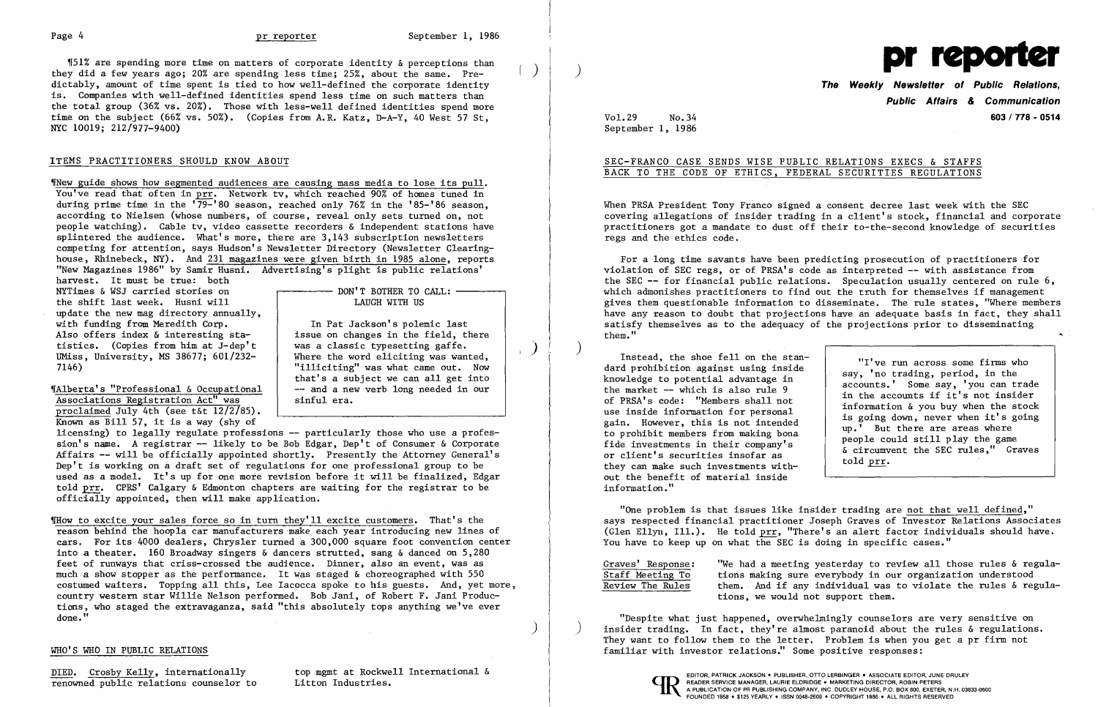)  $\Big|$  )



 $$51%$  are spending more time on matters of corporate identity & perceptions than they did a few years ago; 20% are spending less time; 25%, about the same. Predictably, amount of time spent is tied to how well-defined the corporate identity is. Companies with well-defined identities spend less time on such matters than the total group (36% vs. 20%). Those with less-well defined identities spend more time on the subject (66% vs. 50%). (Copies from A.R. Katz, D-A-Y, 40 West 57 St, NYC 10019; 212/977-9400)

### ITEMS PRACTITIONERS SHOULD KNOW ABOUT

~INew guide shows how segmented audiences are causing mass media to lose its pulL You've read that often in prr. Network tv, which reached 90% of homes tuned in during prime time in the  $\sqrt{79-}$ '80 season, reached only 76% in the '85-'86 season, according to Nielsen (whose numbers, of course, reveal only sets turned on, not people watching). Cable tv, video cassette recorders & independent stations have splintered the audience. What's more, there are 3,143 subscription newsletters competing for attention, says Hudson's Newsletter Directory (Newsletter Clearinghouse, Rhinebeck, NY). And 231 magazines were given birth in 1985 alone, reports "New Magazines 1986" by Samir Husni. Advertising's plight is public relations'

harvest. It must be true: both NYTimes & WSJ carried stories on the shift last week. Husni will update the new mag directory annually, with funding from Meredith Corp. Also offers index & interesting statistics. (Copies from him at J-dep' t UMiss, University, MS 38677; 601/232 7146)

~rAlberta' s "Professional & Occupational Associations Registration Act" was proclaimed July 4th (see t&t 12/2/85). Known as Bill 57, it is a way (shy of

## **The Weekly Newsletter of Public Relations. Public Affairs & Communication**  Vol.29 No.34 **603/718 - 0514**

DON'T BOTHER TO CALL: LAUGH WITH US

In Pat Jackson's polemic last issue on changes in the field, there was a classic typesetting gaffe. Where the word eliciting was wanted, "illiciting" was what came out. Now that's a subject we can all get into -- and a new verb long needed in our sinful era.

licensing) to legally regulate professions **--** particularly those who use a profession's name. A registrar -- likely to be Bob Edgar, Dep't of Consumer & Corporate Affairs **--** will be officially appointed shortly. Presently the Attorney General's Dep't is working on a draft set of regulations for one professional group to be used as a model. It's up for one more revision before it will be finalized, Edgar told prr. CPRS' Calgary & Edmonton chapters are waiting for the registrar to be officially appointed, then will make application.

"I've run across some firms who say, 'no trading, period, in the accounts.' Some say, 'you can trade in the accounts if it's not insider information & you buy when the stock is going down, never when it's going up.' But there are areas where people could still play the game & circumvent the SEC rules," Graves told prr.

~IHow to excite your sales force so in turn they'll excite customers. That's the reason behind the hoopla car manufacturers make each year introducing new lines of cars. For its 4000 dealers, Chrysler turned a 300,000 square foot convention center into a theater. 160 Broadway singers & dancers strutted, sang & danced on 5,280 feet of runways that criss-crossed the audience. Dinner, also an event, was as much a show stopper as the performance. It was staged & choreographed with 550 costumed waiters. Topping all this, Lee Iacocca spoke to his guests. And, yet more, country western star Willie Nelson performed. Bob Jani, of Robert F. Jani Produc tions, who staged the extravaganza, said "this absolutely tops anything we've ever done. **"** 

Graves' Response: "We had a meeting yesterday to review all those rules & regula-<br>Staff Meeting To tions making sure everybody in our organization understood Staff Meeting To tions making sure everybody in our organization understood them. And if any individual was to violate the rules  $\&$  regulations, we would not support them.

)

 $\big)$ 

### WHO'S WHO IN PUBLIC RELATIONS

DIED. Crosby Kelly, internationally<br>
renowned public relations counselor to Litton Industries. renowned public relations counselor to

September 1, 1986

## SEC-FRANCO CASE SENDS WISE PUBLIC RELATIONS EXECS & STAFFS BACK TO THE CODE OF ETHICS, FEDERAL SECURITIES REGULATIONS

When PRSA President Tony Franco signed a consent decree last week with the SEC covering allegations of insider trading in a client's stock, financial and corporate practitioners got a mandate to dust off their to-the-second knowledge of securities regs and the ethics code.

For a long time savants have been predicting prosecution of practitioners for violation of SEC regs, or of PRSA's code as interpreted -- with assistance from the SEC **--** for financial public relations. Speculation usually centered on rule 6, which admonishes practitioners to find out the truth for themselves if management gives them questionable information to disseminate. The rule states, "Where members have any reason to doubt that projections have an adequate basis in fact, they shall satisfy themselves as to the adequacy of the projections prior to disseminating them." ",

) Instead, the shoe fell on the standard prohibition against using inside knowledge to potential advantage in the market  $-$  which is also rule 9 of PRSA's code: "Members shall not use inside information for personal gain. However, this is not intended to prohibit members from making bona fide investments in their company's or client's securities insofar as they can make such investments without the benefit of material inside information."

"One problem is that issues like insider trading are not that well defined," says respected financial practitioner Joseph Graves of Investor Relations Associates (Glen Ellyn, IlL). He told prr, "There's an alert factor individuals should have. You have to keep up on what the SEC is doing in specific cases."

"Despite what just happened, overwhelmingly counselors are very sensitive on insider trading. In fact, they're almost paranoid about the rules & regulations. They want to follow them to the letter. Problem is when you get a pr firm not familiar with investor relations." Some positive responses: